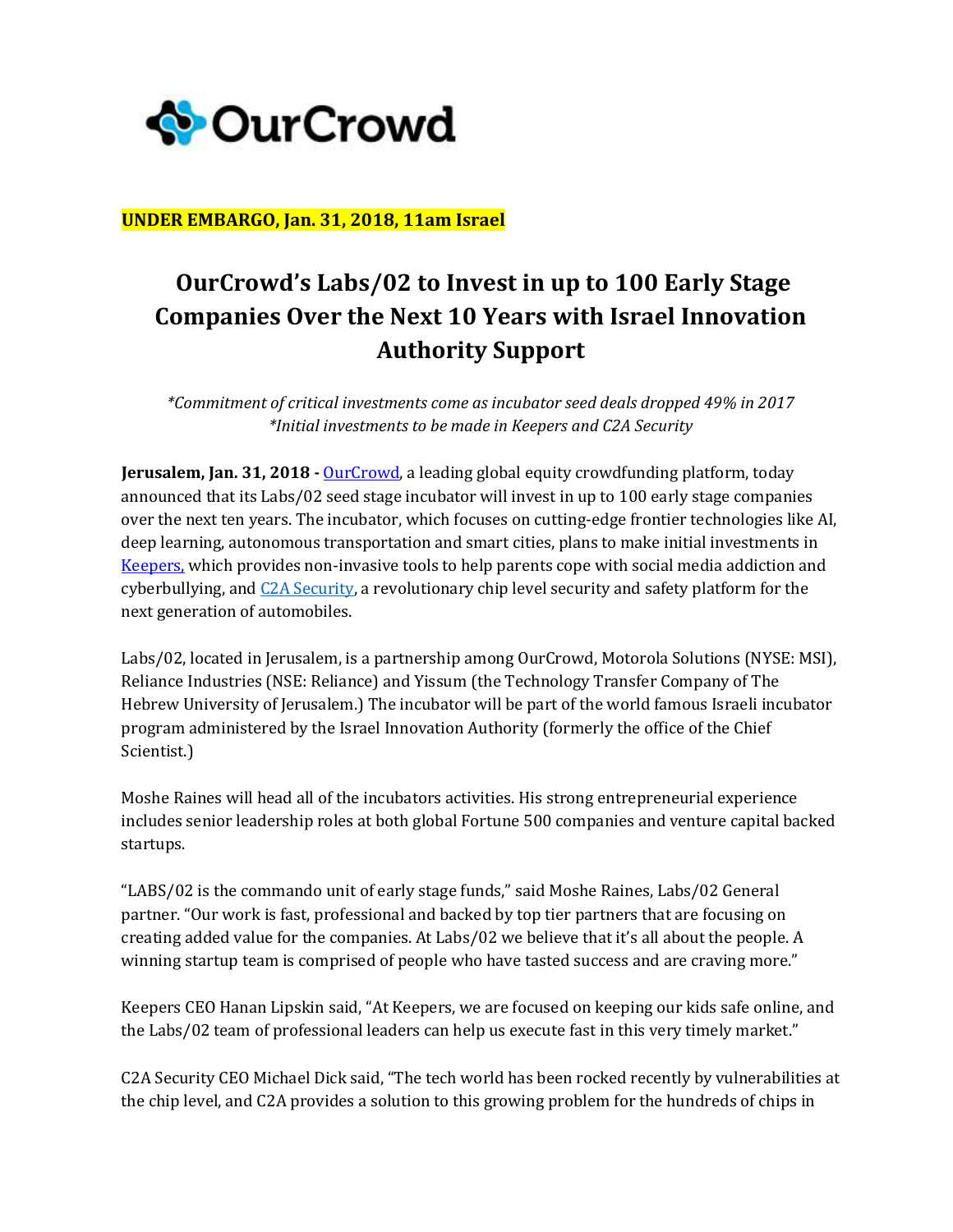

## **UNDER EMBARGO, Jan. 31, 2018, 11am Israel**

## **OurCrowd's Labs/02 to Invest in up to 100 Early Stage Companies Over the Next 10 Years with Israel Innovation Authority Support**

*\*Commitment of critical investments come as incubator seed deals dropped 49% in 2017 \*Initial investments to be made in Keepers and C2A Security*

**Jerusalem, Jan. 31, 2018 -** [OurCrowd,](http://www.ourcrowd.com/) a leading global equity crowdfunding platform, today announced that its Labs/02 seed stage incubator will invest in up to 100 early stage companies over the next ten years. The incubator, which focuses on cutting-edge frontier technologies like AI, deep learning, autonomous transportation and smart cities, plans to make initial investments in [Keepers,](https://www.keeperschildsafety.net/) which provides non-invasive tools to help parents cope with social media addiction and cyberbullying, and C2A [Security,](https://www.c2a-sec.com/) a revolutionary chip level security and safety platform for the next generation of automobiles.

Labs/02, located in Jerusalem, is a partnership among OurCrowd, Motorola Solutions (NYSE: MSI), Reliance Industries (NSE: Reliance) and Yissum (the Technology Transfer Company of The Hebrew University of Jerusalem.) The incubator will be part of the world famous Israeli incubator program administered by the Israel Innovation Authority (formerly the office of the Chief Scientist.)

Moshe Raines will head all of the incubators activities. His strong entrepreneurial experience includes senior leadership roles at both global Fortune 500 companies and venture capital backed startups.

"LABS/02 is the commando unit of early stage funds," said Moshe Raines, Labs/02 General partner. "Our work is fast, professional and backed by top tier partners that are focusing on creating added value for the companies. At Labs/02 we believe that it's all about the people. A winning startup team is comprised of people who have tasted success and are craving more."

Keepers CEO Hanan Lipskin said, "At Keepers, we are focused on keeping our kids safe online, and the Labs/02 team of professional leaders can help us execute fast in this very timely market."

C2A Security CEO Michael Dick said, "The tech world has been rocked recently by vulnerabilities at the chip level, and C2A provides a solution to this growing problem for the hundreds of chips in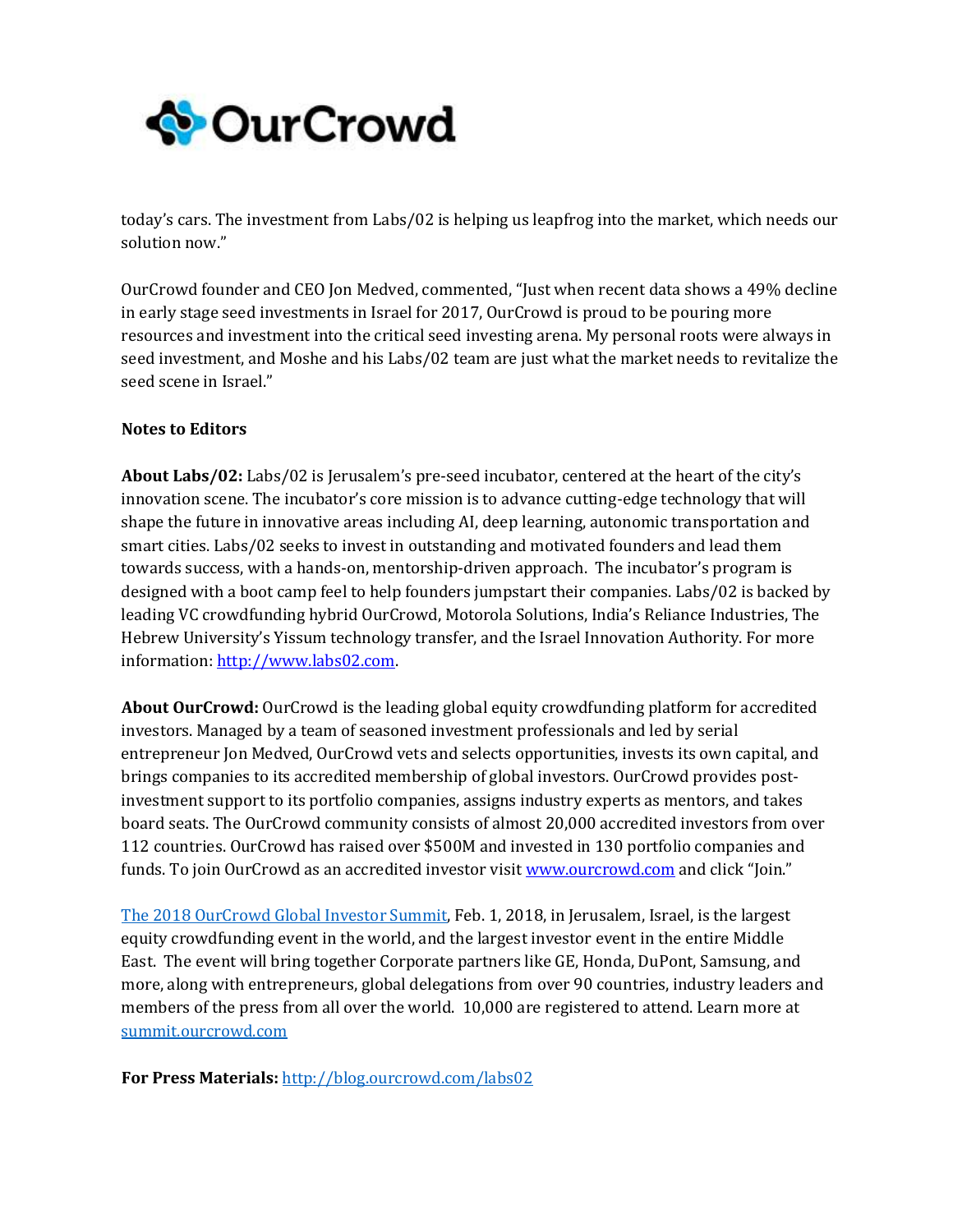

today's cars. The investment from Labs/02 is helping us leapfrog into the market, which needs our solution now."

OurCrowd founder and CEO Jon Medved, commented, "Just when recent data shows a 49% decline in early stage seed investments in Israel for 2017, OurCrowd is proud to be pouring more resources and investment into the critical seed investing arena. My personal roots were always in seed investment, and Moshe and his Labs/02 team are just what the market needs to revitalize the seed scene in Israel."

## **Notes to Editors**

**About Labs/02:** Labs/02 is Jerusalem's pre-seed incubator, centered at the heart of the city's innovation scene. The incubator's core mission is to advance cutting-edge technology that will shape the future in innovative areas including AI, deep learning, autonomic transportation and smart cities. Labs/02 seeks to invest in outstanding and motivated founders and lead them towards success, with a hands-on, mentorship-driven approach. The incubator's program is designed with a boot camp feel to help founders jumpstart their companies. Labs/02 is backed by leading VC crowdfunding hybrid OurCrowd, Motorola Solutions, India's Reliance Industries, The Hebrew University's Yissum technology transfer, and the Israel Innovation Authority. For more information[: http://www.labs02.com.](http://www.labs02.com/)

**About OurCrowd:** OurCrowd is the leading global equity crowdfunding platform for accredited investors. Managed by a team of seasoned investment professionals and led by serial entrepreneur Jon Medved, OurCrowd vets and selects opportunities, invests its own capital, and brings companies to its accredited membership of global investors. OurCrowd provides postinvestment support to its portfolio companies, assigns industry experts as mentors, and takes board seats. The OurCrowd community consists of almost 20,000 accredited investors from over 112 countries. OurCrowd has raised over \$500M and invested in 130 portfolio companies and funds. To join OurCrowd as an accredited investor visi[t www.ourcrowd.com](http://www.ourcrowd.com/) and click "Join."

[The 2018 OurCrowd Global Investor Summit,](SUMMIT.OURCROWD.COM) Feb. 1, 2018, in Jerusalem, Israel, is the largest equity crowdfunding event in the world, and the largest investor event in the entire Middle East. The event will bring together Corporate partners like GE, Honda, DuPont, Samsung, and more, along with entrepreneurs, global delegations from over 90 countries, industry leaders and members of the press from all over the world. 10,000 are registered to attend. Learn more at <summit.ourcrowd.com>

**For Press Materials:** <http://blog.ourcrowd.com/labs02>